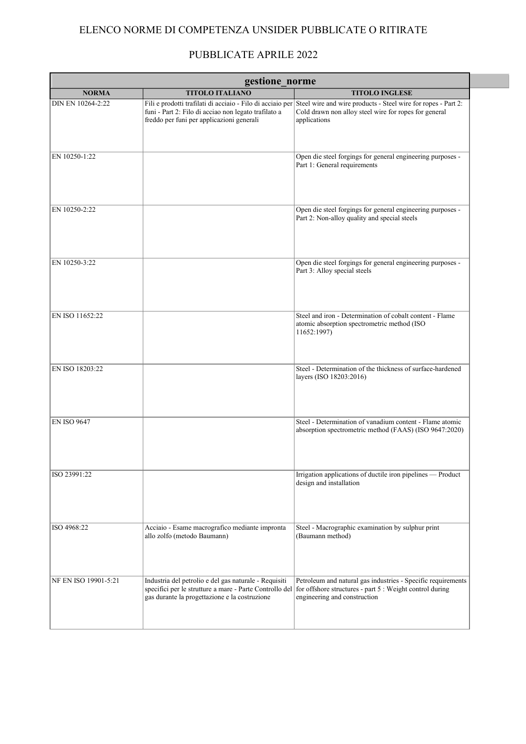## ELENCO NORME DI COMPETENZA UNSIDER PUBBLICATE O RITIRATE

## PUBBLICATE APRILE 2022

| gestione norme       |                                                                                                                                                                   |                                                                                                                                                                                                   |
|----------------------|-------------------------------------------------------------------------------------------------------------------------------------------------------------------|---------------------------------------------------------------------------------------------------------------------------------------------------------------------------------------------------|
| <b>NORMA</b>         | <b>TITOLO ITALIANO</b>                                                                                                                                            | <b>TITOLO INGLESE</b>                                                                                                                                                                             |
| DIN EN 10264-2:22    | funi - Part 2: Filo di acciao non legato trafilato a<br>freddo per funi per applicazioni generali                                                                 | Fili e prodotti trafilati di acciaio - Filo di acciaio per Steel wire and wire products - Steel wire for ropes - Part 2:<br>Cold drawn non alloy steel wire for ropes for general<br>applications |
| EN 10250-1:22        |                                                                                                                                                                   | Open die steel forgings for general engineering purposes -<br>Part 1: General requirements                                                                                                        |
| EN 10250-2:22        |                                                                                                                                                                   | Open die steel forgings for general engineering purposes -<br>Part 2: Non-alloy quality and special steels                                                                                        |
| EN 10250-3:22        |                                                                                                                                                                   | Open die steel forgings for general engineering purposes -<br>Part 3: Alloy special steels                                                                                                        |
| EN ISO 11652:22      |                                                                                                                                                                   | Steel and iron - Determination of cobalt content - Flame<br>atomic absorption spectrometric method (ISO<br>11652:1997)                                                                            |
| EN ISO 18203:22      |                                                                                                                                                                   | Steel - Determination of the thickness of surface-hardened<br>layers (ISO 18203:2016)                                                                                                             |
| <b>EN ISO 9647</b>   |                                                                                                                                                                   | Steel - Determination of vanadium content - Flame atomic<br>absorption spectrometric method (FAAS) (ISO 9647:2020)                                                                                |
| ISO 23991:22         |                                                                                                                                                                   | Irrigation applications of ductile iron pipelines - Product<br>design and installation                                                                                                            |
| ISO 4968:22          | Acciaio - Esame macrografico mediante impronta<br>allo zolfo (metodo Baumann)                                                                                     | Steel - Macrographic examination by sulphur print<br>(Baumann method)                                                                                                                             |
| NF EN ISO 19901-5:21 | Industria del petrolio e del gas naturale - Requisiti<br>specifici per le strutture a mare - Parte Controllo del<br>gas durante la progettazione e la costruzione | Petroleum and natural gas industries - Specific requirements<br>for offshore structures - part 5 : Weight control during<br>engineering and construction                                          |